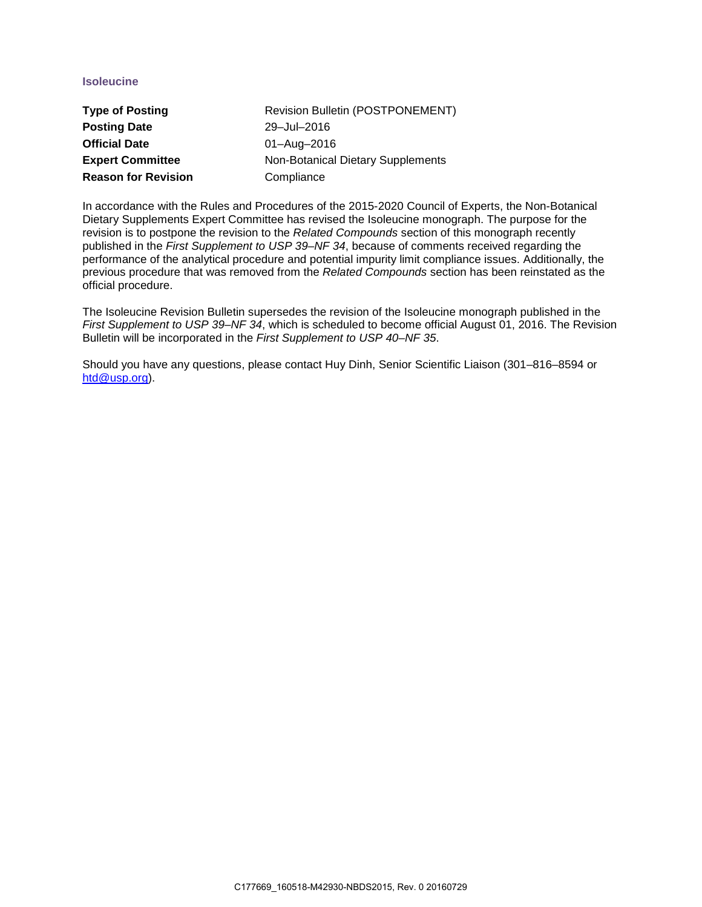## **Isoleucine**

| <b>Type of Posting</b>     | Revision Bulletin (POSTPONEMENT)  |
|----------------------------|-----------------------------------|
| <b>Posting Date</b>        | 29-Jul-2016                       |
| <b>Official Date</b>       | 01-Aug-2016                       |
| <b>Expert Committee</b>    | Non-Botanical Dietary Supplements |
| <b>Reason for Revision</b> | Compliance                        |

In accordance with the Rules and Procedures of the 2015-2020 Council of Experts, the Non-Botanical Dietary Supplements Expert Committee has revised the Isoleucine monograph. The purpose for the revision is to postpone the revision to the *Related Compounds* section of this monograph recently published in the *First Supplement to USP 39–NF 34*, because of comments received regarding the performance of the analytical procedure and potential impurity limit compliance issues. Additionally, the previous procedure that was removed from the *Related Compounds* section has been reinstated as the official procedure.

The Isoleucine Revision Bulletin supersedes the revision of the Isoleucine monograph published in the *First Supplement to USP 39–NF 34*, which is scheduled to become official August 01, 2016. The Revision Bulletin will be incorporated in the *First Supplement to USP 40–NF 35*.

Should you have any questions, please contact Huy Dinh, Senior Scientific Liaison (301–816–8594 or [htd@usp.org\)](mailto:htd@usp.org).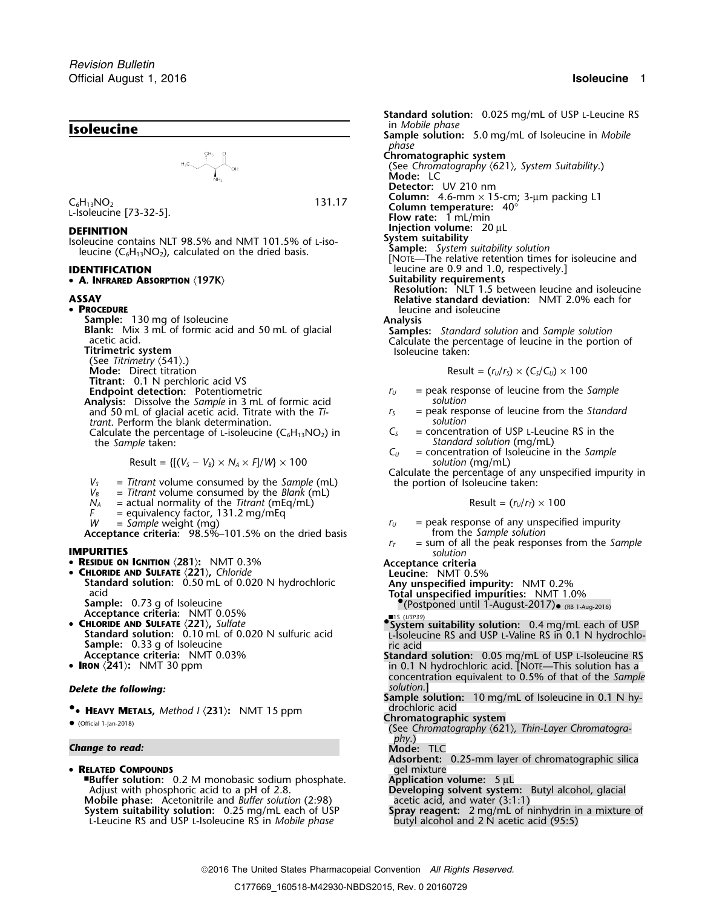

• **<sup>A</sup>. INFRARED ABSORPTION** 〈**197K**〉 **Suitability requirements**

• PROCEDURE

**PROCEDURE**<br> **PROCEDURE** leucine and isoleucine<br> **Sample:** 130 mg of Isoleucine and isoleucine and isoleucine (See Titrimetry **(541).)**<br>Mode: Direct titration **Titrant:** 0.1 N perchloric acid VS **Endpoint detection:** Potentiometric *<sup>r</sup><sup>U</sup>* = peak response of leucine from the *Sample* **Analysis:** Dissolve the *Sample* in 3 mL of formic acid *solution* and 50 mL of glacial acetic acid. Titrate with the *Ti*- *r<sub>S</sub>* = peak response trant. Perform the blank determination. *trant*. Perform the blank determination.

the *Sample* taken: *Standard solution* (mg/mL)<br> $C_U$  = concentration of Isoleucine

 $Result = \{[(V_S - V_B) \times N_A \times F]/W\} \times 100$ 

- 
- 
- $N_A$  = actual normality of the *Titrant* (mEq/mL) Result = ( $r_u/r_T$ )  $\times$  100
- *F* = equivalency factor, 131.2 mg/mEq
- 

**Acceptance criteria:** 98.5%–101.5% on the dried basis  $r_I$ 

- 
- 

- 
- CHLORIDE AND SULFATE  $\langle 221 \rangle$ , Sulfate
- 
- IRON  $\langle 241 \rangle$ : NMT 30 ppm

# **Delete the following:** *Delete the following: solution.*]

**•** drochloric acid **.**• **<sup>H</sup>EAVY METALS,** *Method I* 〈**231**〉**:** NMT 15 ppm **Chromatographic system** •

# *<sup>p</sup>hy*.) *Change to read:* **Mode:** TLC

• **RELATED COMPOUNDS** gel mixture

■**.Buffer solution:** 0.2 M monobasic sodium phosphate. **Application volume:** 5 µL Adjust with phosphoric acid to a pH of 2.8. **Developing solvent system:** Butyl alcohol, glacial **Mobile phase:** Acetonitrile and *Buffer solution* (2:98) **Developing solvent system:** Butyl alcohol, glacial **Mobile phase:** Acetonitrile and *Buffer solution* (2:98) System suitability solution: 0.25 mg/mL each of USP<br>L-Leucine RS and USP L-Isoleucine RS in *Mobile phase* 

**Standard solution:** 0.025 mg/mL of USP L-Leucine RS in *Mobile phase phase* **Chromatographic system** (See *Chromatography* 〈621〉*, System Suitability*.) **Mode:** LC **Detector:** UV 210 nm **Column:** 4.6-mm × 15-cm; 3-µm packing L1 <sup>C</sup>6H13NO<sup>2</sup> 131.17 **Column temperature:** 40° <sup>L</sup>-Isoleucine [73-32-5]. **Flow rate:**<sup>1</sup> mL/min **DEFINITION Injection volume:** 20 µL<br>Isoleucine contains NIT 98.5% and NMT 101.5% of Liso- System suitability Isoleucine contains NLT 98.5% and NMT 101.5% of L-iso-<br>leucine (C<sub>6</sub>H<sub>13</sub>NO<sub>2</sub>), calculated on the dried basis.<br>[NOTE—The relative retention times for isoleucine and]<br>[NOTE—The relative retention times for isoleucine and] **IDENTIFICATION**<br>
• **A. INFRARED ABSORPTION** <197K> **Suitability requirements**Suitability equirements **Resolution:** NLT 1.5 between leucine and isoleucine **ASSAY Relative standard deviation:** NMT 2.0% each for **Sample:** 130 mg of Isoleucine<br> **Blank:** Mix 3 mL of formic acid and 50 mL of glacial<br>
acetic acid.<br>
Titrimetric system<br>
Titrimetric system<br>
Titrimetric system<br>
Titrimetric system<br>
Titrimetric system<br>
Titrimetric system<br>
T  $\text{Result} = (r_U/r_S) \times (C_S/C_U) \times 100$ Calculate the percentage of L-isoleucine  $(C_6H_{13}NO_2)$  in  $C_5$  = concentration of USP L-Leucine RS in the = concentration of *Isoleucine* in the *Sample solution* (mq/mL)  $V_s$  = Titrant volume consumed by the *Sample* (mL)<br>  $V_s$  = Titrant volume consumed by the *Blank* (mL)<br>  $V_s$  = Titrant volume consumed by the *Blank* (mL)<br>  $N_A$  = actual normality of the *Titrant* (mEq/mL)<br>  $N_A$  = actual *W* = *Sample* weight (mg)  $V = 101.5\%$  on the dried basis *ru* = peak response of any unspecified impurity **cceptance criteria:** 98.5%–101.5% on the dried basis from the Sample solution **IMPURITIES IMPURITIES IMPURITIES** *r***<sub>***T***</sub>** = sum of all the peak responses from the *Sample* • **<sup>R</sup>ESIDUE ON IGNITION** 〈**281**〉**:** NMT 0.3% **Acceptance criteria** • **CHLORIDE AND SULFATE** 〈**221**〉**,** *Chloride* **Leucine:** NMT 0.5% **Standard solution:** 0.50 mL of 0.020 N hydrochloric **Any unspecified impurity:** NMT 0.2% acid **Total unspecified impurities:** NMT 1.0% **Sample:** 0.73 g of Isoleucine •.(Postponed until 1-August-2017)• (RB 1-Aug-2016) **Acceptance criteria:** NMT 0.05% <br>**CHLORIDE AND SULFATE** (221), Sulfate **All Structures Contained Accepts** and System suitability solution: 0.4 mg/mL each of USP Standard solution: 0.10 mL of 0.020 N sulfuric acid<br>
Sample: 0.33 g of Isoleucine<br>
Acceptance criteria: NMT 0.03% 38 and the standard solution: 0.05 mg/mL of USP L-Isoleucine RS **Standard solution:** 0.05 mg/mL of USP L-Isoleucine RS **in 0.1 N hydrochloric acid. [NOTE—This solution has a** concentration equivalent to 0.5% of that of the *Sample*

**Sample solution:** 10 mg/mL of Isoleucine in 0.1 N hy-

- **ILAVI METALS,** MELIOU I (231). INNI 13 ppin<br>• (See Chromatography (621), Thin-Layer Chromatogra(See Chromatography (621), Thin-Layer Chromatogra-
	-
	- **Adsorbent:** 0.25-mm layer of chromatographic silica

**Spray reagent:** 2 mg/mL of ninhydrin in a mixture of butyl alcohol and 2 N acetic acid (95:5)